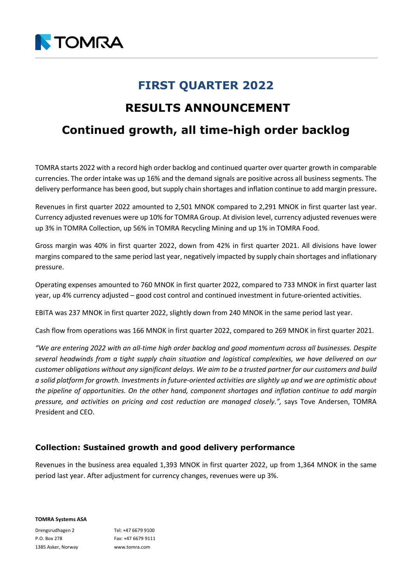

# **FIRST QUARTER 2022**

## **RESULTS ANNOUNCEMENT**

# **Continued growth, all time-high order backlog**

TOMRA starts 2022 with a record high order backlog and continued quarter over quarter growth in comparable currencies. The order intake was up 16% and the demand signals are positive across all business segments. The delivery performance has been good, but supply chain shortages and inflation continue to add margin pressure**.**

Revenues in first quarter 2022 amounted to 2,501 MNOK compared to 2,291 MNOK in first quarter last year. Currency adjusted revenues were up 10% for TOMRA Group. At division level, currency adjusted revenues were up 3% in TOMRA Collection, up 56% in TOMRA Recycling Mining and up 1% in TOMRA Food.

Gross margin was 40% in first quarter 2022, down from 42% in first quarter 2021. All divisions have lower margins compared to the same period last year, negatively impacted by supply chain shortages and inflationary pressure.

Operating expenses amounted to 760 MNOK in first quarter 2022, compared to 733 MNOK in first quarter last year, up 4% currency adjusted – good cost control and continued investment in future-oriented activities.

EBITA was 237 MNOK in first quarter 2022, slightly down from 240 MNOK in the same period last year.

Cash flow from operations was 166 MNOK in first quarter 2022, compared to 269 MNOK in first quarter 2021.

*"We are entering 2022 with an all-time high order backlog and good momentum across all businesses. Despite several headwinds from a tight supply chain situation and logistical complexities, we have delivered on our customer obligations without any significant delays. We aim to be a trusted partner for our customers and build a solid platform for growth. Investments in future-oriented activities are slightly up and we are optimistic about the pipeline of opportunities. On the other hand, component shortages and inflation continue to add margin pressure, and activities on pricing and cost reduction are managed closely.",* says Tove Andersen, TOMRA President and CEO.

## **Collection: Sustained growth and good delivery performance**

Revenues in the business area equaled 1,393 MNOK in first quarter 2022, up from 1,364 MNOK in the same period last year. After adjustment for currency changes, revenues were up 3%.

**TOMRA Systems ASA**

Drengsrudhagen 2 P.O. Box 278 1385 Asker, Norway Tel: +47 6679 9100 Fax: +47 6679 9111 www.tomra.com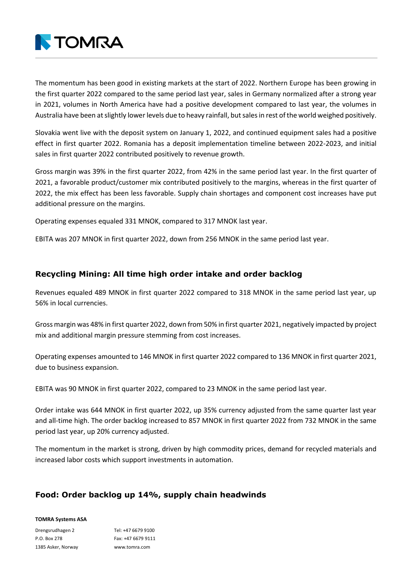

The momentum has been good in existing markets at the start of 2022. Northern Europe has been growing in the first quarter 2022 compared to the same period last year, sales in Germany normalized after a strong year in 2021, volumes in North America have had a positive development compared to last year, the volumes in Australia have been at slightly lower levels due to heavy rainfall, but sales in rest of the world weighed positively.

Slovakia went live with the deposit system on January 1, 2022, and continued equipment sales had a positive effect in first quarter 2022. Romania has a deposit implementation timeline between 2022-2023, and initial sales in first quarter 2022 contributed positively to revenue growth.

Gross margin was 39% in the first quarter 2022, from 42% in the same period last year. In the first quarter of 2021, a favorable product/customer mix contributed positively to the margins, whereas in the first quarter of 2022, the mix effect has been less favorable. Supply chain shortages and component cost increases have put additional pressure on the margins.

Operating expenses equaled 331 MNOK, compared to 317 MNOK last year.

EBITA was 207 MNOK in first quarter 2022, down from 256 MNOK in the same period last year.

## **Recycling Mining: All time high order intake and order backlog**

Revenues equaled 489 MNOK in first quarter 2022 compared to 318 MNOK in the same period last year, up 56% in local currencies.

Gross margin was 48% in first quarter 2022, down from 50% in first quarter 2021, negatively impacted by project mix and additional margin pressure stemming from cost increases.

Operating expenses amounted to 146 MNOK in first quarter 2022 compared to 136 MNOK in first quarter 2021, due to business expansion.

EBITA was 90 MNOK in first quarter 2022, compared to 23 MNOK in the same period last year.

Order intake was 644 MNOK in first quarter 2022, up 35% currency adjusted from the same quarter last year and all-time high. The order backlog increased to 857 MNOK in first quarter 2022 from 732 MNOK in the same period last year, up 20% currency adjusted.

The momentum in the market is strong, driven by high commodity prices, demand for recycled materials and increased labor costs which support investments in automation.

## **Food: Order backlog up 14%, supply chain headwinds**

#### **TOMRA Systems ASA**

Drengsrudhagen 2 P.O. Box 278 1385 Asker, Norway Tel: +47 6679 9100 Fax: +47 6679 9111 www.tomra.com